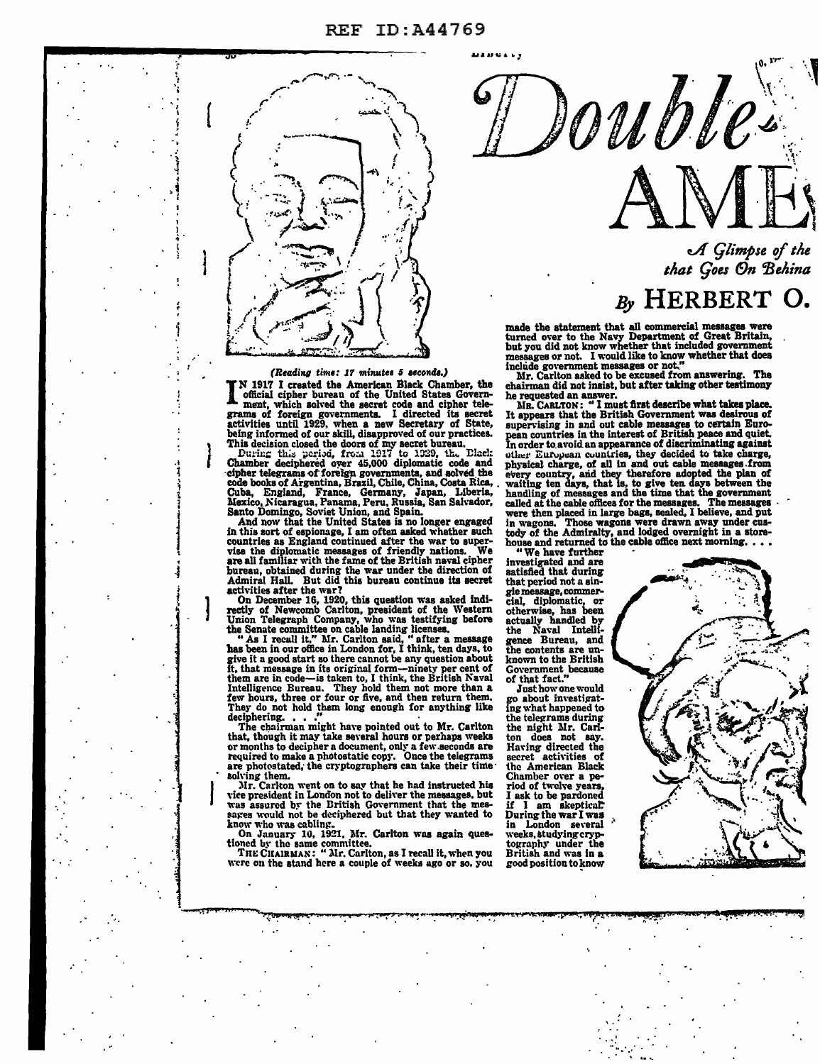

### (Reading time: 17 minutes 5 seconds.)

N 1917 I created the American Black Chamber. the official cipher bureau of the United States Government, which solved the secret code and cinher telegrams of foreign governments. I directed its secret activities until 1929, when a new Secretary of State, being informed of our skill, disapproved of our practices.

This decision closed the doors of my secret bure practices.<br>This decision closed the doors of my secret bureau.<br>During this period, from 1937 to 1929, the Electrical<br>Chamber deciphered over 45,000 diplomatic code and<br>ciphe Cuba, England, France, Germany, Japan, Liberia,<br>Mexico, Nicaragua, Panama, Peru, Russia, San Salvador, Santo Domingo, Soviet Union, and Spain.<br>And now that the United States is no longer engaged.

in this sort of espionage, I am often asked whether such countries as England continued after the war to supervise the diplomatic messages of friendly nations. We are all familiar with the fame of the British naval cipher

are all familiar with the fame of the British naval cipher<br>bureau, obtained during the war under the direction of<br>ddmiral Hall. But did this bureau continue its secret<br>activities after the war?<br>On December 16, 1920, this q

has been in our once in London for, I think, ten days, to<br>give it a good start so there cannot be any question about<br>ft, that message in its original form—ninety per cent of<br>them are in code—is taken to, I think, the Briti deciphering.

The chairman might have pointed out to Mr. Carlton that, though it may take several hours or perhaps weeks or months to decipher a document, only a few seconds are required to make a photostatic copy. Once the telegrams are photostated, the cryptographers can take their time solving them.<br>Mr. Carlton went on to say that he had instructed his

vice president in London not to deliver the messages, but was assured by the British Government that the messares would not be deciphered but that they wanted to know who was cabling.<br>
On January 10, 1921, Mr. Carlton was again ques-

tioned by the same committee.<br>THE CHAIRMAN: "Mr. Carlton, as I recall it, when you were on the stand here a couple of weeks ago or so, you

double.

A Glimpse of the that Goes On Behina

## By HERBERT O.

made the statement that all commercial messages were<br>turned over to the Navy Department of Great Britain,<br>but you did not know whether that included government messages or not. I would like to know whether that does

Mr. Carlton asked to be excused from answering. The chairman did not insist, but after taking other testimony

he requested an answer.<br>MR. CARLTON: "I must first describe what takes place. It appears that the British Government was desirous of supervising in and out cable messages to certain Euro-<br>pean countries in the interest of British peace and quiet.<br>In order to avoid an appearance of discriminating against other European countries, they decided to take charge, other European countries, they decided to take charge,<br>physical charge, of all in and out cable measages.from<br>every country, and they therefore adopted the plan of<br>waiting ten days, that is, to give ten days between the<br>h

"We have further investigated and are<br>satisfied that during that period not a sinrial period not a single message, commer-<br>cial, diplomatic, or<br>otherwise, has been<br>actually handled by the Naval Intelli-<br>gence Bureau, and<br>the contents are un-<br>known to the British Government because of that fact.

Just how one would go about investigating what happened to the telegrams during the night Mr. Carlton does not say.<br>Having directed the<br>secret activities of the American Black Chamber over a period of twelve years, I ask to be pardoned<br>if I am skeptical: During the war I was in London several<br>weeks.studying.cryptography under the<br>British and was in a<br>good position to know

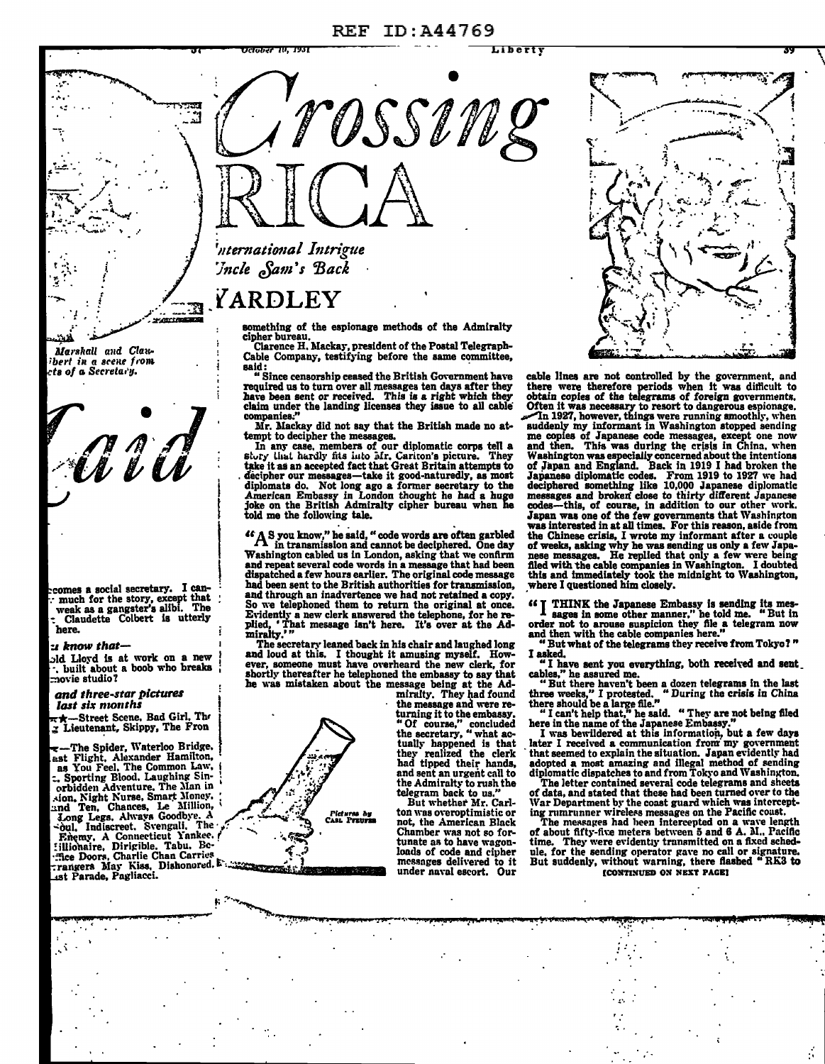#### ID:A44769  $REF$



YARDLEY

something of the espionage methods of the Admiralty cipher bureau.<br>Cipher bureau.<br>Clarence H. Mackay, president of the Postal Telegraph-

Cable Company, testifying before the same committee, said:

Since censorship ceased the British Government have not consume that the british covernment have<br>required us to turn over all messages ten days after they<br>have been sent or received. This is a right which they<br>claim under the landing licenses they issue to all cable<br>compani

Mr. Mackay did not say that the British made no attempt to decipher the messages.

In any case, members of our diplomatic corps tell a In any case, memoers or our uplomatic corps tell a story that hardly fits into Mr. Cariton's picture. They take it as an accepted fact that Great Britain attempts to decipher our messages—take it good-naturedly, as most di

"A S you know," he said, "code words are often garbled<br>in transmission and cannot be deciphered. One day Washington cabled us in London, asking that we confirm<br>and repeat several code words in a message that had been dispatched a few hours earlier. The original code message had been sent to the British authorities for transmission, and through an inadvertence we had not retained a copy. So we telephoned them to return the original at once.<br>Evidently a new clerk answered the telephone, for he re-Died, 'That message isn't here. It's over at the Admiralty.'"

The secretary leaned back in his chair and laughed long and loud at this. I thought it amusing myself. How-<br>ever, someone must have overheard the new clerk, for shortly thereafter he telephoned the embassy to say that he was mistaken about the message being at the Ad-

miralty. They had found the message and were re-<br>turning it to the embassy.<br>"Of course " concluded "Of course," concluded<br>the secretary, "what actually happened is that they realized the cierk<br>had tipped their hands. and sent an urgent call to the Admiralty to rush the telegram back to us.

But whether Mr. Carlton was overoptimistic or not, the American Black Chamber was not so for-<br>tunate as to have wagonloads of code and cipher messages delivered to it under naval escort. Our

cable lines are not controlled by the government, and there were therefore periods when it was difficult to obtain copies of the telegrams of foreign governments. Often it was necessary to resort to dangerous espionage.<br>Th 1927, however, things were running smoothly, when suddenly my informant in Washington stopped sending me copies of Japanese code messages, except one now<br>and then. This was during the crisis in China, when Washington was especially concerned about the intentions of Japan and England. Back in 1919 I had broken the Japanese diplomatic codes. From 1919 to 1927 we had<br>deciphered something like 10,000 Japanese diplomatic dentisties and broken close to thirty different Japanese<br>codes---this, of course, in addition to our other work.<br>Japan was one of the few governments that Washington<br>was interested in at all times. For this reason, aside f the Chinese crisis, I wrote my informant after a couple the outliers crisis, a wrote my introduced that only a few Japa-<br>nese messages. He replied that only a few were being<br>filed with the cable companies in Washington. I doubted<br>this and immediately took the midnight to Washin where I questioned him closely.

"I THINK the Japanese Embassy is sending its mes-<br>I sages in some other manner," he told me. "But in order not to arouse suspicion they file a telegram now

and then with the cable companies here."<br>"But what of the telegrams they receive from Tokyo?" I asked.

"I have sent you everything, both received and sent cables," he assured me.

"But there haven't been a dozen telegrams in the last<br>three weeks," I protested... "During the crisis in China there should be a large file."<br>
"I can't help that," he said. "They are not being filed

here in the name of the Japanese Embassy.

I was bevildered at this information, but a few days<br>later I received a communication from my government<br>that seemed to explain the situation. Japan evidently had<br>adopted a most amazing and illegal method of sending diplomatic dispatches to and from Tokyo and Washington.

The letter contained several code telegrams and sheets<br>of data, and stated that these had been turned over to the War Department by the coast guard which was intercepting rumrunner wireless messages on the Pacific coust.

The messages had been intercepted on a wave length of about fifty-five meters between 5 and 6 A. M., Pacific<br>time. They were evidently transmitted on a fixed schedthe for the sending operator gave no call or signature.<br>But suddenly, without warning, there flashed "RK3 to **[CONTINUED ON NEXT PAGE]** 

bert in a scene from ts of a Secretary.

Aid

Marshall and Clau-

comes a social secretary. I canmuch for the story, except that<br>weak as a gangster's alibi. The<br>Claudette Colbert is utterly here.

### s know that-

old Lloyd is at work on a new . built about a boob who breaks  $\frac{1}{2}$ novie studio?

and three-star pictures last six months

-Street Scene, Bad Girl, The Lieutenant, Skippy, The Fron

he Spider, Waterloo Bridge. est Flight, Alexander Hamilton, as You Feel, The Common Law, . Sporting Blood. Laughing Sin-<br>orbidden Adventure. The Man in sion, Night Nurse, Smart Money, Long Legs, Always Goodbye. A<br>Soul, Indiscreet. Svengali, The Enemy, A Connecticut Yankee.<br>
:illionaire, Dirigible. Tabu. Be-<br>
:fice Doors, Charlie Chan Carries rangers May Kiss, Dishonored.

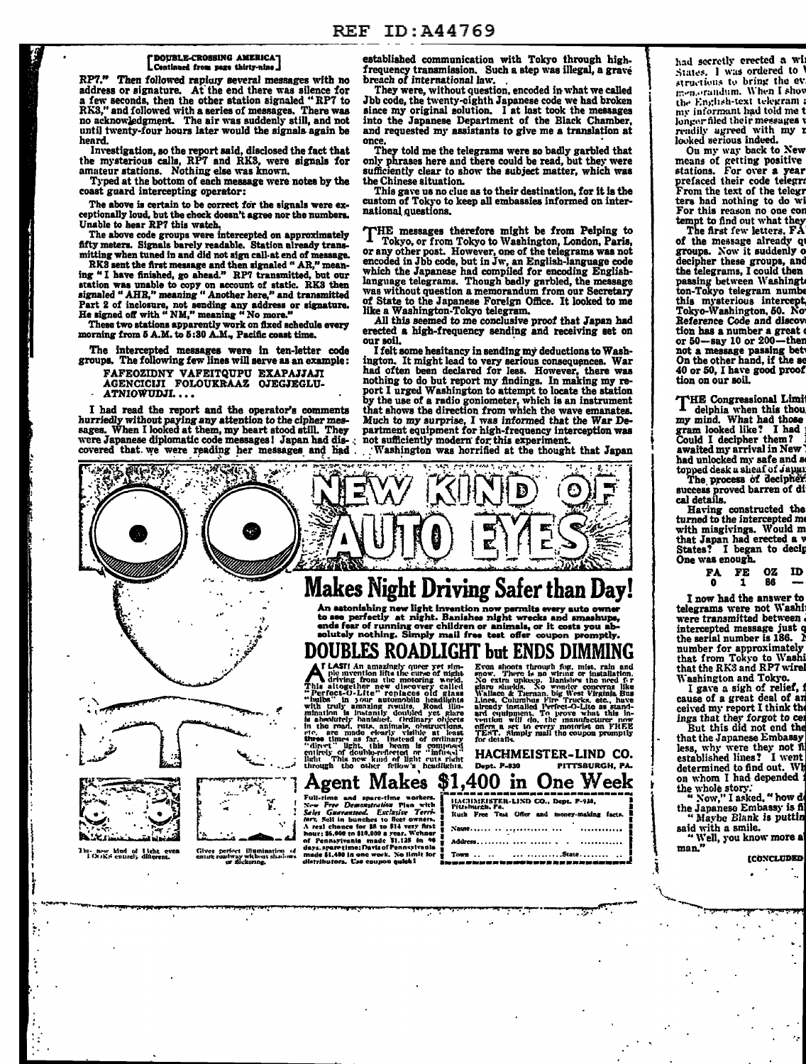## [ DOUBLE-CROSSING AMERICA]

LContinued from page thirty-nine J<br>RP7." Then followed rapicury several messages with no address or signature. At the end there was silence for a few seconds, then the other station signaled "RP7 to RK3," and followed with a series of messages. There was no acknowledgment. The air was suddenly still, and not until twenty-four hours later would the signals again be heard.

Typed at the bottom of each message were notes by the the Chinese situation.<br>coast guard intercepting operator: This gave us no clue as to their destination, for it is the

The above is certain to be correct for the signals were ex-<br>ceptionally loud, but the check doesn't agree nor the numbers.<br>Unable to hear RP7 this watch.

fifty meters. Signals barely readable. Station already trans-<br>mitting when tuned in and did not sign call at end of message.

mitting when tuned in and did not sign call-at end of n RKS sent the first message and then signaled " AR," meaning "I have finished, go ahead." RP7 transmitted, but our 1ignaled "AHR," meaning" Another here," and tranamitted Part 2 of inclosure, not sending any address or signature. The State to the Japanese Foreign Office. It looked to me<br>He signed off with "NM," meaning "No more." all this seemed to me conclusive proof that Japan had<br>These t

The intercepted messages were in ten-letter code groups. The following few lines will serve as an example:

FAFEOZIDNY VAFEITQUPU EXAPAJJAJI

AGENCICIJI FOLOUKRAAZ OJEGJEGLU-<br>· ATNIOWUDJI....

r<br>L

l j ! t ) I *i* 

 $\ddot{\cdot}$ 

I had read the report and the operator's comments hurriedly without paying any attention to the cipher messages. When I looked at them, my heart stood still. They hurriedly without paying any attention to the cipher mes-<br>sages. When I looked at them, my heart stood still. They partment equipment for high-frequency interception was<br>were Japanese diplomatic code messages I Japan had d covered that. we were reading her messages and had

established communication with Tokyo through highfrequency transmission. Such a step was illegal, a grave bn!ach of international Jaw. . They were, without question, encoded in what we called

Jbb code, the twenty-eighth Japanese code we had broken since my original solution. I at last took the messages into the Japanese Department of the Black Chamber,

until twenty-four hours later would the signals again be<br>heard.<br>Investigation, so the report said, disclosed the fact that the mysterious calls, RP7 and RKS, were signals for only phrases here and there could be read, but They told me the telegrams were so badly garbled that e mysterious calls, RP7 and RK3, were signals for only phrases here and there could be read, but they were sufficiently clear to show the subject matter, which was Typed at the bottom of each message were notes by the the

custom of Tokyo to keep all embassies informed on inter-

nable to hear RP7 this watch.<br>The above code groups were intercepted on approximately THE messages therefore might be from Peiping to The above code groups were intercepted on approximately THE messages therefore might be  $\perp$  Tokyo, or from Tokyo to Washington, London, Paris, or any other post. However, one of the telegrams was not encoded in Jbb code, but in Jw, an English-language code which the Japanese had compiled for encoding Engli of State to the Japanese Foreign Office. It looked to me like a Washington-Tokyo telegram.

These two stations apparently work on fixed schedule every<br>morning from 5 A.M. to 5:30 A.M., Pacific coast time.<br>our soil.<br>The intercepted messages were in ten-letter code I felt some hesitancy in sending my deductions to our soil.<br>I felt some hesitancy in sending my deductions to Wash-

ington. It might lead to very serious consequences. War had often been declared for less. However, there was nothing to do but report my findings. In making my report I urged Washington to attempt to locate the station by the use of a radio goniometer, which is an instrument I bad read the report and the operator's comments that shows the direction from which the wave emanates.



had secretly erected a Wi States. I was ordered to <sup>1</sup><br>structions to bring the ev 1:-n.orandum. When I shov the English-text telegram ;<br>my informant had told me t longer filed their messages rendily agreed with my r<br>looked serious indeed.

Ou my way back to New<br>means of getting positive stations. For over a year<br>prefaced their code telegr: From the text of the telegr ters had nothing to do wi<br>For this reason no one cor tempt to find out what they

The first few letters, FA of the message already que groups. Now it suddenly of groups. Now it suddenly o decipher these groups, and the telegrams, I could then passing between WashingtA ton-Tokyo telegram numbe this mysterious intercept, Tokyo-Washington, 60. No• Reference Code and discov tion has a number a great or 50-say 10 or 200-then not a message passing bet<br>On the other hand, if the se 40 or 50, I have good proof tion on our soil.

THE Congressional Limit delphia when this thou, my mind. What had those gram looked like? I had looked in Could I decipher them? awaited my arrival in New~ had unlocked my safe and s topped desk a sheaf of Japan<br>The process of decipher

success proved barren of di cal details.

Having constructed the turned to the intercepted me with misgivings. Would m<br>that Japan had erected a v States? I began to decip One was enough.

> FA FE OZ ID 86

I now had the answer to<br>telegrams were not Washi were transmitted between intercepted message just o the serial number is  $186.1$ number for approximately<br>that from Tokyo to Washi that the RK3 and RP7 wirel

Washington and Tokyo.<br>
I gave a sigh of relief, it<br>
cause of a great deal of any<br>
ceived my report I think the<br>
ings that they forgot to cea<br>
But this did not end the

that the Japanese Embassy less, why were they not fi established lines? I went determined to find out. Wh<br>on whom I had depended i

the whole story.<br>" Now," I asked, " how do the Japaneso Embassy is ft

" Maybe Blank is puttin<br>said with a smile.<br>"Well, you know more a man."

·---~~ ......... --:pr~·-~.~-"'"'""""'

·-.,..,.

**[CONCLUDED]**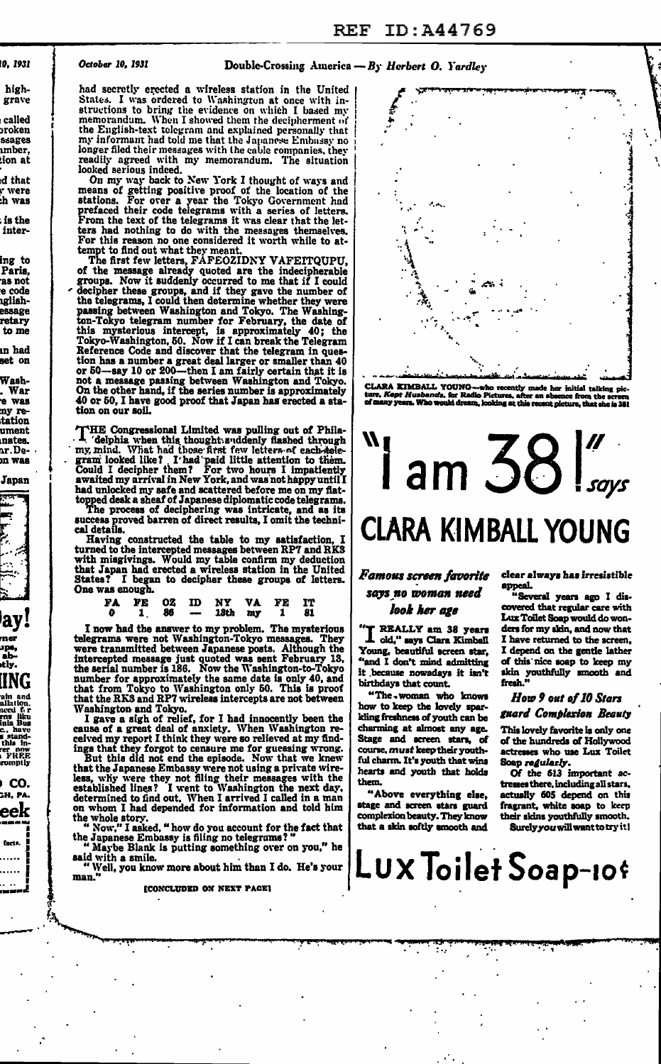#### ID:A44769 **REF**

## 10. 1931

highgrave

called oroken 533509 mber. ion at

d that r were h was ís the

inter-

ing to Paris. as not e code iglish**essage** reta rv to me

ın had set on .<br>Wash-

War . War<br>e wa<mark>s</mark> ny retation ument nates. ar.Den was

Japan



ay! ups,<br>ab-<br>stly. **ING** 

and vertex<br>asim and<br>meed forms like<br>inla Bus<br>c., have<br>this in-<br>repromptly<br>romptly<br>romptly

CO. SH, PA. eek

facts. . . . . . .

. . . . . .

#### October 10, 1931

## Double-Crossing America -  $B<sub>y</sub>$  Herbert O. Yardley

had secretly erected a wireless station in the United I was ordered to Washington at once with in-States. structions to bring the evidence on which I based my memorandum. When I showed them the decipherment of the English-text telegram and explained personally that<br>my informant had told me that the Japanese Embassy no<br>longer filed their messages with the cable companies, they readily agreed with my memorandum. The situation looked serious indeed.

footed serious indeed.<br>On my way back to New York I thought of ways and<br>means of getting positive proof of the location of the<br>stations. For over a year the Tokyo Government had<br>prefaced their code telegrams with a series ters had nothing to do with the messages themselves. For this reason no one considered it worth while to at-

For this reason no one considered it worth while to attempt to find out what they meant.<br>The first fault while the meant of the mean of the measure already quoted are the indecipherable groups. Now it suddenly occurred to Reference Code and discover that the telegram in quesstored to has a number a great deal larger or smaller than 40<br>or 50—say 10 or 200—then I am fairly certain that it is<br>not a message passing between Washington and Tokyo.<br>On the other hand, if the series number is approxima 40 or 50, I have good proof that Japan has erected a station on our soil.

THE Congressional Limited was pulling out of Phila-<br>
'delphia when this thought suddenly flashed through<br>
my mind. What had those first few letters of each-sele-<br>
gram looked like? I'had 'paid little attention to them.<br>
Co a watted my arrival in New York, and was not happy until I<br>had unlocked my safe and scattered before me on my flat-<br>topped desk a sheaf of Japanese diplomatic code telegrams.<br>The process of deciphering was intricate, and a

cal details.<br>
Having constructed the table to my satisfaction, I<br>
Having constructed messages between RP7 and RK3<br>
with misgivings. Would my table confirm my deduction<br>
that Japan had erected a wireless station in the Unit One was enough.

|  |  | FA FE OZ ID NY VA FE IT     |  |  |
|--|--|-----------------------------|--|--|
|  |  | $0$ 1 $86$ - 18th my 1 $81$ |  |  |

I now had the answer to my problem. The mysterious<br>telegrams were not Washington-Tokyo messages. They<br>were transmitted between Japanese posts. Although the<br>intercepted message just quoted was sent February 13,<br>the serial n Washington and Tokyo.

Washington and Tokyo.<br>I gave a sight of relief, for I had innocently been the<br>cause of a great deal of anxiety. When Washington re-<br>ceived my report I think they were so relieved at my find-<br>ings that they forgot to censur on whom I had depended for information and told him

the whole story.<br>" Now," I asked, " how do you account for the fact that<br>the Japanese Embassy is filing no telegrams? "<br>" Maybe Blank is putting something over on you," he

**ICONCLUDED ON NEXT PAGEI** 



CLARA EIMBALL YOUNG--who recently made her initial talking pic-<br>ture, Kept Husbands, for Radio Pictures, after an absence from the acreen Kopt Husbands, for Radio Pictures, after an<br>my years. Who would dream, looking at this rece ext picture, that she is 38!

# W,  $\lim 38$ **CLARA KIMBALL YOUNG**

## Famous screen favorite says no woman need look her age

"T REALLY am 38 years<br>I old," says Clara Kimball<br>Young, beautiful screen star, "and I don't mind admitting it because nowadays it isn't birthdays that count.

"The - woman who knows how to keep the lovely sparkling freshness of youth can be charming at almost any age. Stage and screen stars, of course, must keep their youthful charm. It's youth that wins hearts and youth that holds them.

"Above everything else, stage and screen stars guard complexion beauty. They know that a skin softly smooth and

clear always has irresistible appeal.

"Several years ago I discovered that regular care with Lux Toilet Soap would do wonders for my skin, and now that I have returned to the screen, I depend on the gentle lather of this nice soap to keep my skin youthfully smooth and<br>fresh."

## How 9 out of 10 Stars guard Complexion Beauty

This lovely favorite is only one of the hundreds of Hollywood actresses who use Lux Toilet Soap regularly.

Of the 613 important actresses there, including all stars, actually 605 depend on this fragrant, white soap to keep their skins youthfully smooth. Surely you will want to try it!

said with a smile. "Well, you know more about him than I do. He's your  $|LuxToilef$  Soap-10.